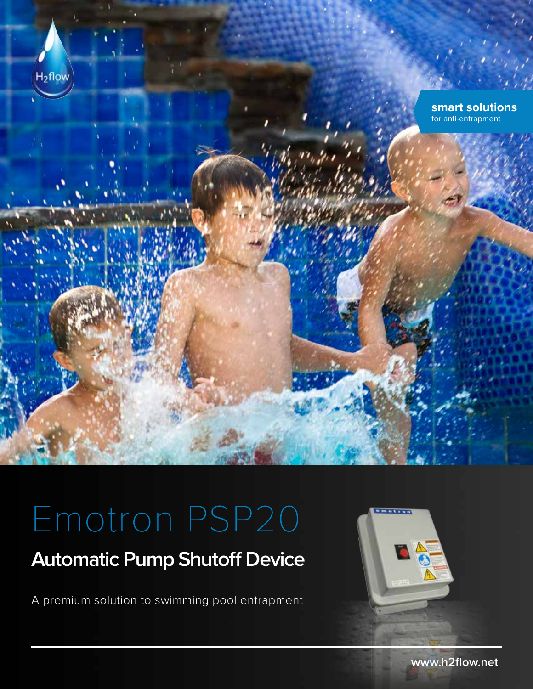

# Emotron PSP20

## **Automatic Pump Shutoff Device**

A premium solution to swimming pool entrapment



**www.h2flow.net**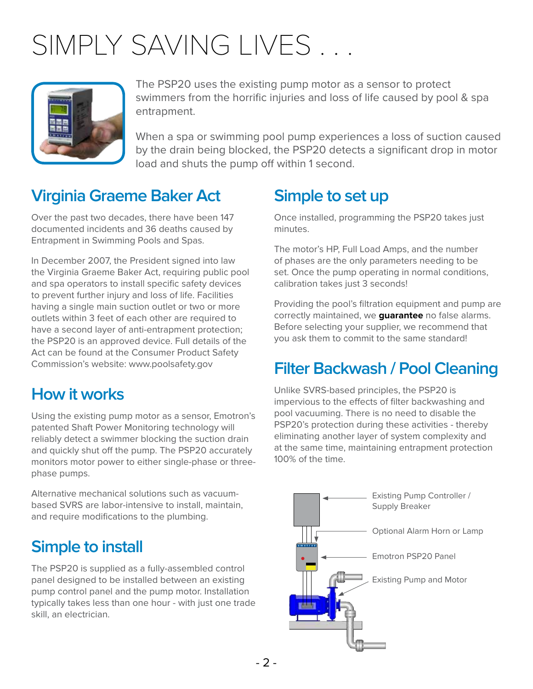# SIMPLY SAVING LIVES ...



The PSP20 uses the existing pump motor as a sensor to protect swimmers from the horrific injuries and loss of life caused by pool & spa entrapment.

When a spa or swimming pool pump experiences a loss of suction caused by the drain being blocked, the PSP20 detects a significant drop in motor load and shuts the pump off within 1 second.

### **Virginia Graeme Baker Act**

Over the past two decades, there have been 147 documented incidents and 36 deaths caused by Entrapment in Swimming Pools and Spas.

In December 2007, the President signed into law the Virginia Graeme Baker Act, requiring public pool and spa operators to install specific safety devices to prevent further injury and loss of life. Facilities having a single main suction outlet or two or more outlets within 3 feet of each other are required to have a second layer of anti-entrapment protection; the PSP20 is an approved device. Full details of the Act can be found at the Consumer Product Safety Commission's website: www.poolsafety.gov

#### **How it works**

Using the existing pump motor as a sensor, Emotron's patented Shaft Power Monitoring technology will reliably detect a swimmer blocking the suction drain and quickly shut off the pump. The PSP20 accurately monitors motor power to either single-phase or threephase pumps.

Alternative mechanical solutions such as vacuumbased SVRS are labor-intensive to install, maintain, and require modifications to the plumbing.

### **Simple to install**

The PSP20 is supplied as a fully-assembled control panel designed to be installed between an existing pump control panel and the pump motor. Installation typically takes less than one hour - with just one trade skill, an electrician.

### **Simple to set up**

Once installed, programming the PSP20 takes just minutes.

The motor's HP, Full Load Amps, and the number of phases are the only parameters needing to be set. Once the pump operating in normal conditions, calibration takes just 3 seconds!

Providing the pool's filtration equipment and pump are correctly maintained, we **guarantee** no false alarms. Before selecting your supplier, we recommend that you ask them to commit to the same standard!

### **Filter Backwash / Pool Cleaning**

Unlike SVRS-based principles, the PSP20 is impervious to the effects of filter backwashing and pool vacuuming. There is no need to disable the PSP20's protection during these activities - thereby eliminating another layer of system complexity and at the same time, maintaining entrapment protection 100% of the time.

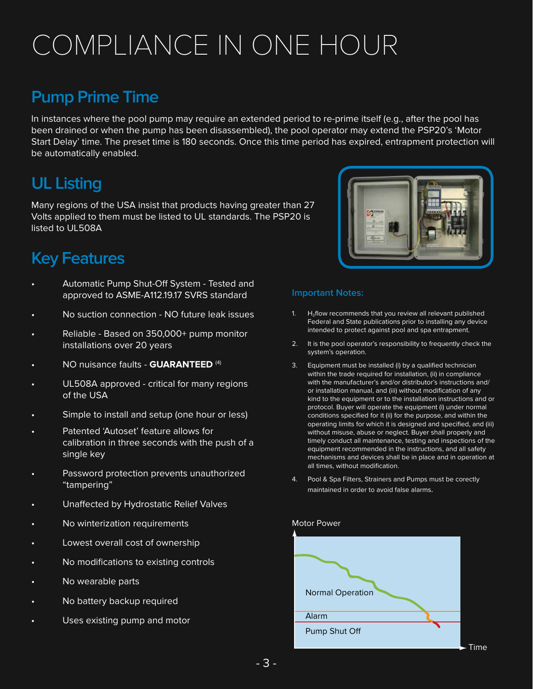# COMPLIANCE IN ONE HOUR

#### **Pump Prime Time**

In instances where the pool pump may require an extended period to re-prime itself (e.g., after the pool has been drained or when the pump has been disassembled), the pool operator may extend the PSP20's 'Motor Start Delay' time. The preset time is 180 seconds. Once this time period has expired, entrapment protection will be automatically enabled.

#### **UL Listing**

Many regions of the USA insist that products having greater than 27 Volts applied to them must be listed to UL standards. The PSP20 is listed to UL508A

### **Key Features**

- Automatic Pump Shut-Off System Tested and approved to ASME-A112.19.17 SVRS standard
- No suction connection NO future leak issues
- Reliable Based on 350,000+ pump monitor installations over 20 years
- NO nuisance faults **GUARANTEED** (4)
- UL508A approved critical for many regions of the USA
- Simple to install and setup (one hour or less)
- Patented 'Autoset' feature allows for calibration in three seconds with the push of a single key
- Password protection prevents unauthorized "tampering"
- Unaffected by Hydrostatic Relief Valves
- No winterization requirements
- Lowest overall cost of ownership
- No modifications to existing controls
- No wearable parts
- No battery backup required
- Uses existing pump and motor



#### **Important Notes:**

- 1.  $H_2$ flow recommends that you review all relevant published Federal and State publications prior to installing any device intended to protect against pool and spa entrapment.
- 2. It is the pool operator's responsibility to frequently check the system's operation.
- 3. Equipment must be installed (i) by a qualified technician within the trade required for installation, (ii) in compliance with the manufacturer's and/or distributor's instructions and/ or installation manual, and (iii) without modification of any kind to the equipment or to the installation instructions and or protocol. Buyer will operate the equipment (i) under normal conditions specified for it (ii) for the purpose, and within the operating limits for which it is designed and specified, and (iii) without misuse, abuse or neglect. Buyer shall properly and timely conduct all maintenance, testing and inspections of the equipment recommended in the instructions, and all safety mechanisms and devices shall be in place and in operation at all times, without modification.
- 4. Pool & Spa Filters, Strainers and Pumps must be corectly maintained in order to avoid false alarms.

#### Motor Power